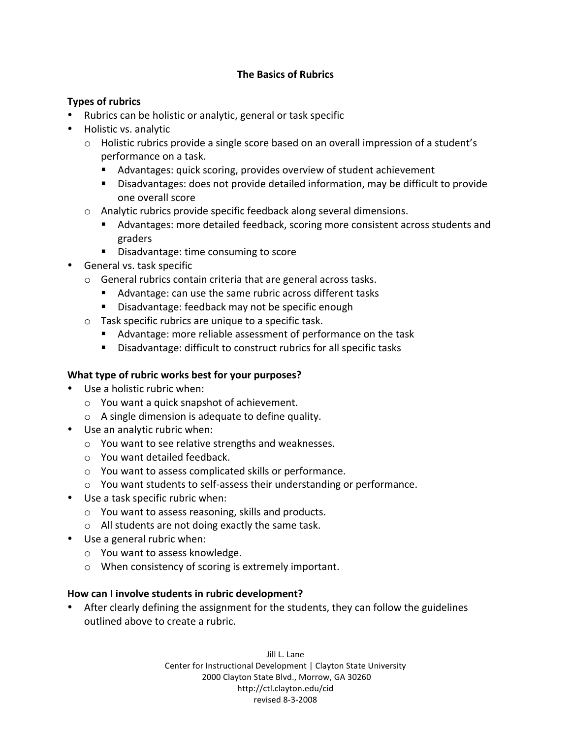### **The Basics of Rubrics**

### **Types of rubrics**

- Rubrics can be holistic or analytic, general or task specific
- Holistic vs. analytic
	- Holistic rubrics provide a single score based on an overall impression of a student's performance
	on
	a
	task.
		- Advantages: quick scoring, provides overview of student achievement
		- Disadvantages: does not provide detailed information, may be difficult to provide one
		overall
		score
	- o Analytic
	rubrics
	provide
	specific
	feedback
	along
	several
	dimensions.
		- Advantages:
		more
		detailed
		feedback,
		scoring
		more
		consistent
		across
		students
		and graders
		- Disadvantage: time consuming to score
- General
vs.
task
specific
	- o General
	rubrics
	contain
	criteria
	that
	are
	general
	across
	tasks.
		- Advantage: can use the same rubric across different tasks
		- Disadvantage: feedback may not be specific enough
	- o Task
	specific
	rubrics
	are
	unique
	to
	a
	specific
	task.
		- Advantage: more reliable assessment of performance on the task
		- Disadvantage: difficult to construct rubrics for all specific tasks

## **What type of rubric works best for your purposes?**

- Use a holistic rubric when:
	- o You
	want
	a
	quick
	snapshot
	of
	achievement.
	- o A
	single
	dimension
	is
	adequate
	to
	define
	quality.
- Use an analytic rubric when:
	- o You
	want
	to
	see
	relative
	strengths
	and
	weaknesses.
	- o You
	want
	detailed
	feedback.
	- o You
	want
	to
	assess
	complicated
	skills
	or
	performance.
	- You want students to self-assess their understanding or performance.
- Use a task specific rubric when:
	- o You
	want
	to
	assess
	reasoning,
	skills
	and
	products.
	- o All
	students
	are
	not
	doing
	exactly
	the
	same
	task.
- Use a general rubric when:
	- o You
	want
	to
	assess
	knowledge.
	- o When
	consistency
	of
	scoring
	is
	extremely
	important.

#### **How can I involve students in rubric development?**

• After clearly defining the assignment for the students, they can follow the guidelines outlined
above
to
create
a
rubric.

> Jill
> L.
> Lane Center
> for
> Instructional
> Development
> |
> Clayton
> State
> University 2000
> Clayton
> State
> Blvd.,
> Morrow,
> GA
> 30260 http://ctl.clayton.edu/cid revised
> 8‐3‐2008